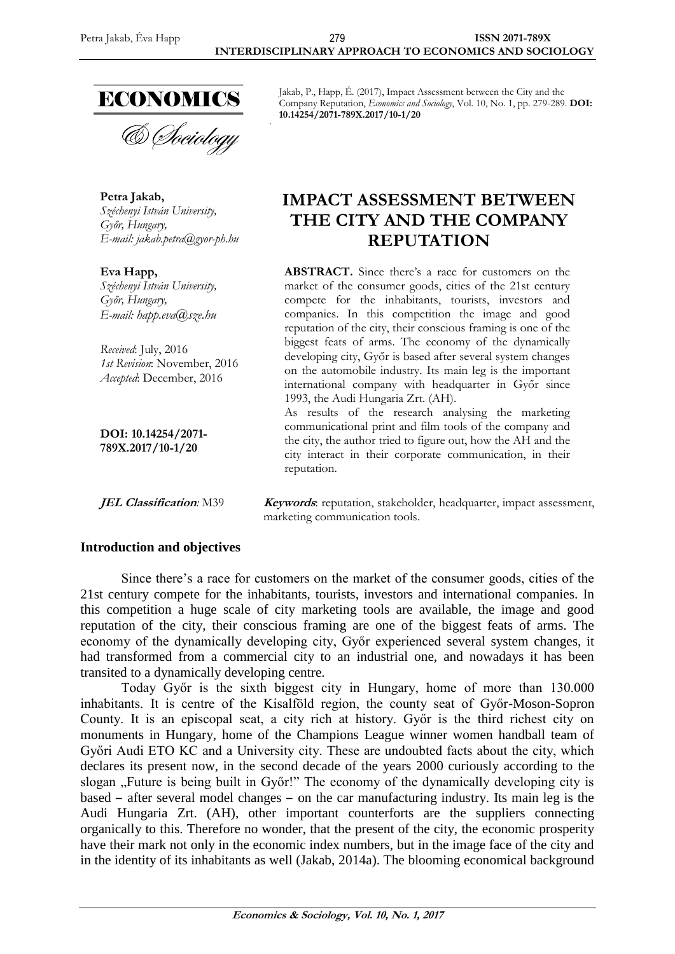

& Sociology

**Petra Jakab,** *Széchenyi István University, Győr, Hungary, E-mail: [jakab.petra@gyor-ph.hu](mailto:jakab.petra@gyor-ph.hu)*

**Eva Happ,** *Széchenyi István University, Győr, Hungary, E-mail: [happ.eva@sze.hu](mailto:happ.eva@sze.hu)*

*Received*: July, 2016 *1st Revision*: November, 2016 *Accepted*: December, 2016

**DOI: 10.14254/2071- 789X.2017/10-1/20**

Jakab, P., Happ, É. (2017), Impact Assessment between the City and the Company Reputation, *Economics and Sociology*, Vol. 10, No. 1, pp. 279-289. **DOI: 10.14254/2071-789X.2017/10-1/20**

# **IMPACT ASSESSMENT BETWEEN THE CITY AND THE COMPANY REPUTATION**

**ABSTRACT.** Since there's a race for customers on the market of the consumer goods, cities of the 21st century compete for the inhabitants, tourists, investors and companies. In this competition the image and good reputation of the city, their conscious framing is one of the biggest feats of arms. The economy of the dynamically developing city, Győr is based after several system changes on the automobile industry. Its main leg is the important international company with headquarter in Győr since 1993, the Audi Hungaria Zrt. (AH).

As results of the research analysing the marketing communicational print and film tools of the company and the city, the author tried to figure out, how the AH and the city interact in their corporate communication, in their reputation.

*JEL Classification:* M39 *Keywords:* reputation, stakeholder, headquarter, impact assessment, marketing communication tools.

#### **Introduction and objectives**

Since there's a race for customers on the market of the consumer goods, cities of the 21st century compete for the inhabitants, tourists, investors and international companies. In this competition a huge scale of city marketing tools are available, the image and good reputation of the city, their conscious framing are one of the biggest feats of arms. The economy of the dynamically developing city, Győr experienced several system changes, it had transformed from a commercial city to an industrial one, and nowadays it has been transited to a dynamically developing centre.

Today Győr is the sixth biggest city in Hungary, home of more than 130.000 inhabitants. It is centre of the Kisalföld region, the county seat of Győr-Moson-Sopron County. It is an episcopal seat, a city rich at history. Győr is the third richest city on monuments in Hungary, home of the Champions League winner women handball team of Győri Audi ETO KC and a University city. These are undoubted facts about the city, which declares its present now, in the second decade of the years 2000 curiously according to the slogan "Future is being built in Győr!" The economy of the dynamically developing city is based – after several model changes – on the car manufacturing industry. Its main leg is the Audi Hungaria Zrt. (AH), other important counterforts are the suppliers connecting organically to this. Therefore no wonder, that the present of the city, the economic prosperity have their mark not only in the economic index numbers, but in the image face of the city and in the identity of its inhabitants as well (Jakab, 2014a). The blooming economical background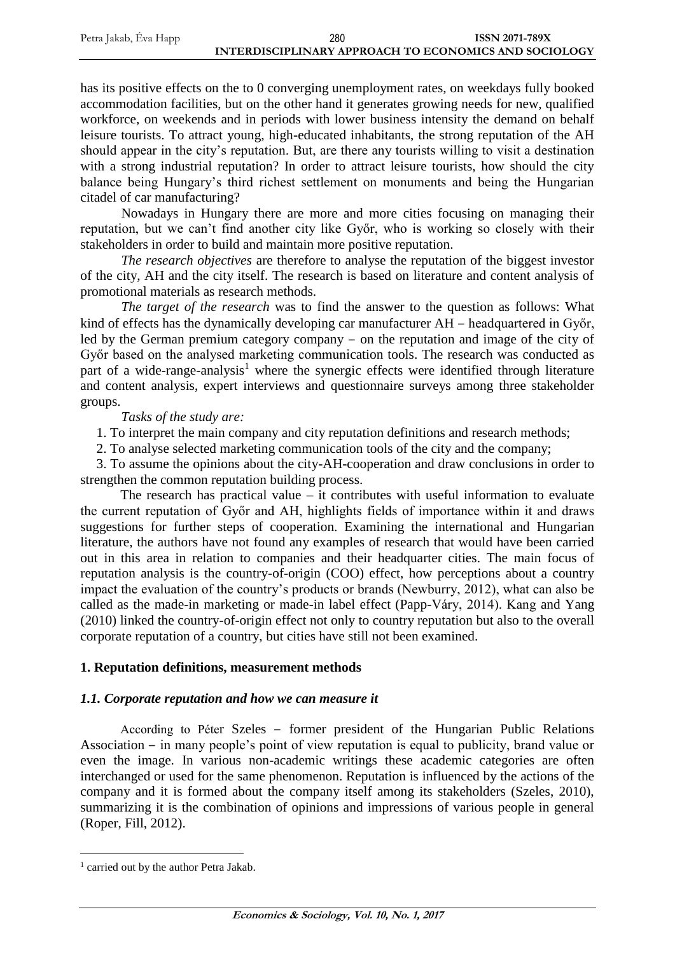| Petra Jakab, Éva Happ | 280                                                   | <b>ISSN 2071-789X</b> |
|-----------------------|-------------------------------------------------------|-----------------------|
|                       | INTERDISCIPLINARY APPROACH TO ECONOMICS AND SOCIOLOGY |                       |

has its positive effects on the to 0 converging unemployment rates, on weekdays fully booked accommodation facilities, but on the other hand it generates growing needs for new, qualified workforce, on weekends and in periods with lower business intensity the demand on behalf leisure tourists. To attract young, high-educated inhabitants, the strong reputation of the AH should appear in the city's reputation. But, are there any tourists willing to visit a destination with a strong industrial reputation? In order to attract leisure tourists, how should the city balance being Hungary's third richest settlement on monuments and being the Hungarian citadel of car manufacturing?

Nowadays in Hungary there are more and more cities focusing on managing their reputation, but we can't find another city like Győr, who is working so closely with their stakeholders in order to build and maintain more positive reputation.

*The research objectives* are therefore to analyse the reputation of the biggest investor of the city, AH and the city itself. The research is based on literature and content analysis of promotional materials as research methods.

*The target of the research* was to find the answer to the question as follows: What kind of effects has the dynamically developing car manufacturer AH – headquartered in Győr, led by the German premium category company – on the reputation and image of the city of Győr based on the analysed marketing communication tools. The research was conducted as part of a wide-range-analysis<sup>1</sup> where the synergic effects were identified through literature and content analysis, expert interviews and questionnaire surveys among three stakeholder groups.

*Tasks of the study are:*

1. To interpret the main company and city reputation definitions and research methods;

2. To analyse selected marketing communication tools of the city and the company;

3. To assume the opinions about the city-AH-cooperation and draw conclusions in order to strengthen the common reputation building process.

The research has practical value  $-$  it contributes with useful information to evaluate the current reputation of Győr and AH, highlights fields of importance within it and draws suggestions for further steps of cooperation. Examining the international and Hungarian literature, the authors have not found any examples of research that would have been carried out in this area in relation to companies and their headquarter cities. The main focus of reputation analysis is the country-of-origin (COO) effect, how perceptions about a country impact the evaluation of the country's products or brands (Newburry, 2012), what can also be called as the made-in marketing or made-in label effect (Papp-Váry, 2014). Kang and Yang (2010) linked the country-of-origin effect not only to country reputation but also to the overall corporate reputation of a country, but cities have still not been examined.

#### **1. Reputation definitions, measurement methods**

#### *1.1. Corporate reputation and how we can measure it*

According to Péter Szeles – former president of the Hungarian Public Relations Association  $-$  in many people's point of view reputation is equal to publicity, brand value or even the image. In various non-academic writings these academic categories are often interchanged or used for the same phenomenon. Reputation is influenced by the actions of the company and it is formed about the company itself among its stakeholders (Szeles, 2010), summarizing it is the combination of opinions and impressions of various people in general (Roper, Fill, 2012).

 $\overline{a}$ 

<sup>&</sup>lt;sup>1</sup> carried out by the author Petra Jakab.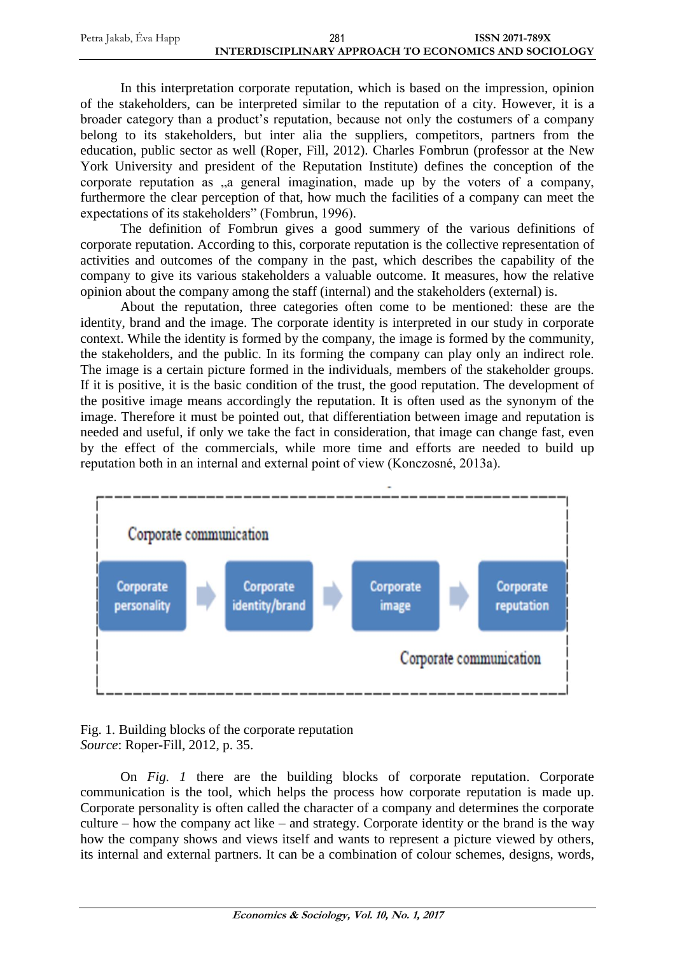| Petra Jakab, Éva Happ | 281                                                   | <b>ISSN 2071-789X</b> |
|-----------------------|-------------------------------------------------------|-----------------------|
|                       | INTERDISCIPLINARY APPROACH TO ECONOMICS AND SOCIOLOGY |                       |

In this interpretation corporate reputation, which is based on the impression, opinion of the stakeholders, can be interpreted similar to the reputation of a city. However, it is a broader category than a product's reputation, because not only the costumers of a company belong to its stakeholders, but inter alia the suppliers, competitors, partners from the education, public sector as well (Roper, Fill, 2012). Charles Fombrun (professor at the New York University and president of the Reputation Institute) defines the conception of the corporate reputation as  $a$  general imagination, made up by the voters of a company, furthermore the clear perception of that, how much the facilities of a company can meet the expectations of its stakeholders" (Fombrun, 1996).

The definition of Fombrun gives a good summery of the various definitions of corporate reputation. According to this, corporate reputation is the collective representation of activities and outcomes of the company in the past, which describes the capability of the company to give its various stakeholders a valuable outcome. It measures, how the relative opinion about the company among the staff (internal) and the stakeholders (external) is.

About the reputation, three categories often come to be mentioned: these are the identity, brand and the image. The corporate identity is interpreted in our study in corporate context. While the identity is formed by the company, the image is formed by the community, the stakeholders, and the public. In its forming the company can play only an indirect role. The image is a certain picture formed in the individuals, members of the stakeholder groups. If it is positive, it is the basic condition of the trust, the good reputation. The development of the positive image means accordingly the reputation. It is often used as the synonym of the image. Therefore it must be pointed out, that differentiation between image and reputation is needed and useful, if only we take the fact in consideration, that image can change fast, even by the effect of the commercials, while more time and efforts are needed to build up reputation both in an internal and external point of view (Konczosné, 2013a).



Fig. 1. Building blocks of the corporate reputation *Source*: Roper-Fill, 2012, p. 35.

On *Fig. 1* there are the building blocks of corporate reputation. Corporate communication is the tool, which helps the process how corporate reputation is made up. Corporate personality is often called the character of a company and determines the corporate culture – how the company act like – and strategy. Corporate identity or the brand is the way how the company shows and views itself and wants to represent a picture viewed by others, its internal and external partners. It can be a combination of colour schemes, designs, words,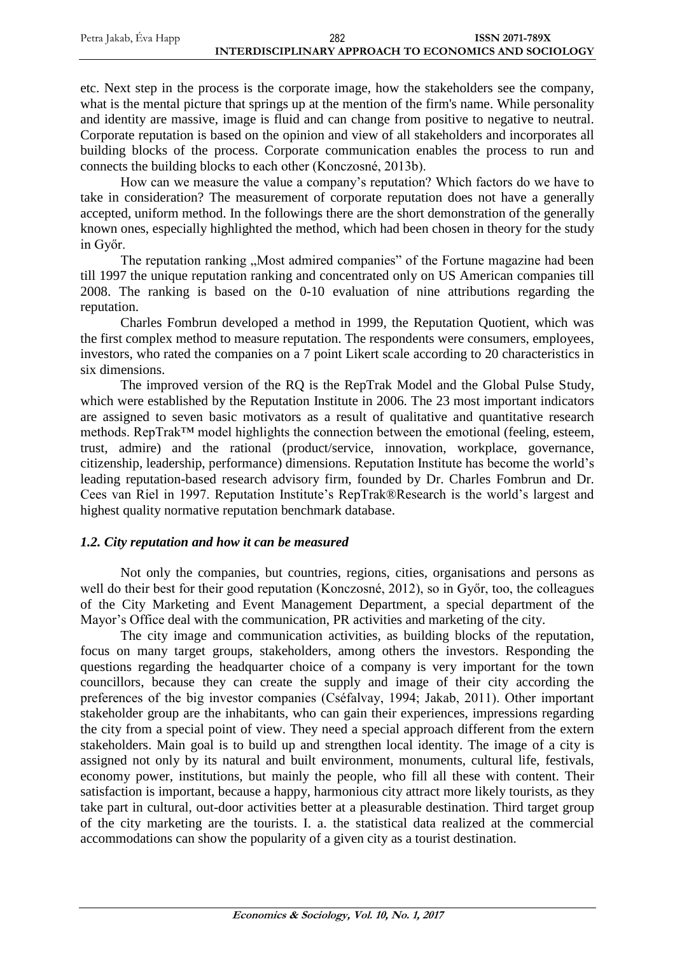etc. Next step in the process is the corporate image, how the stakeholders see the company, what is the mental picture that springs up at the mention of the firm's name. While personality and identity are massive, image is fluid and can change from positive to negative to neutral. Corporate reputation is based on the opinion and view of all stakeholders and incorporates all building blocks of the process. Corporate communication enables the process to run and connects the building blocks to each other (Konczosné, 2013b).

How can we measure the value a company's reputation? Which factors do we have to take in consideration? The measurement of corporate reputation does not have a generally accepted, uniform method. In the followings there are the short demonstration of the generally known ones, especially highlighted the method, which had been chosen in theory for the study in Győr.

The reputation ranking "Most admired companies" of the Fortune magazine had been till 1997 the unique reputation ranking and concentrated only on US American companies till 2008. The ranking is based on the 0-10 evaluation of nine attributions regarding the reputation.

Charles Fombrun developed a method in 1999, the Reputation Quotient, which was the first complex method to measure reputation. The respondents were consumers, employees, investors, who rated the companies on a 7 point Likert scale according to 20 characteristics in six dimensions.

The improved version of the RQ is the RepTrak Model and the Global Pulse Study, which were established by the Reputation Institute in 2006. The 23 most important indicators are assigned to seven basic motivators as a result of qualitative and quantitative research methods. RepTrak™ model highlights the connection between the emotional (feeling, esteem, trust, admire) and the rational (product/service, innovation, workplace, governance, citizenship, leadership, performance) dimensions. Reputation Institute has become the world's leading reputation-based research advisory firm, founded by Dr. Charles Fombrun and Dr. Cees van Riel in 1997. Reputation Institute's RepTrak®Research is the world's largest and highest quality normative reputation benchmark database.

# *1.2. City reputation and how it can be measured*

Not only the companies, but countries, regions, cities, organisations and persons as well do their best for their good reputation (Konczosné, 2012), so in Győr, too, the colleagues of the City Marketing and Event Management Department, a special department of the Mayor's Office deal with the communication, PR activities and marketing of the city.

The city image and communication activities, as building blocks of the reputation, focus on many target groups, stakeholders, among others the investors. Responding the questions regarding the headquarter choice of a company is very important for the town councillors, because they can create the supply and image of their city according the preferences of the big investor companies (Cséfalvay, 1994; Jakab, 2011). Other important stakeholder group are the inhabitants, who can gain their experiences, impressions regarding the city from a special point of view. They need a special approach different from the extern stakeholders. Main goal is to build up and strengthen local identity. The image of a city is assigned not only by its natural and built environment, monuments, cultural life, festivals, economy power, institutions, but mainly the people, who fill all these with content. Their satisfaction is important, because a happy, harmonious city attract more likely tourists, as they take part in cultural, out-door activities better at a pleasurable destination. Third target group of the city marketing are the tourists. I. a. the statistical data realized at the commercial accommodations can show the popularity of a given city as a tourist destination.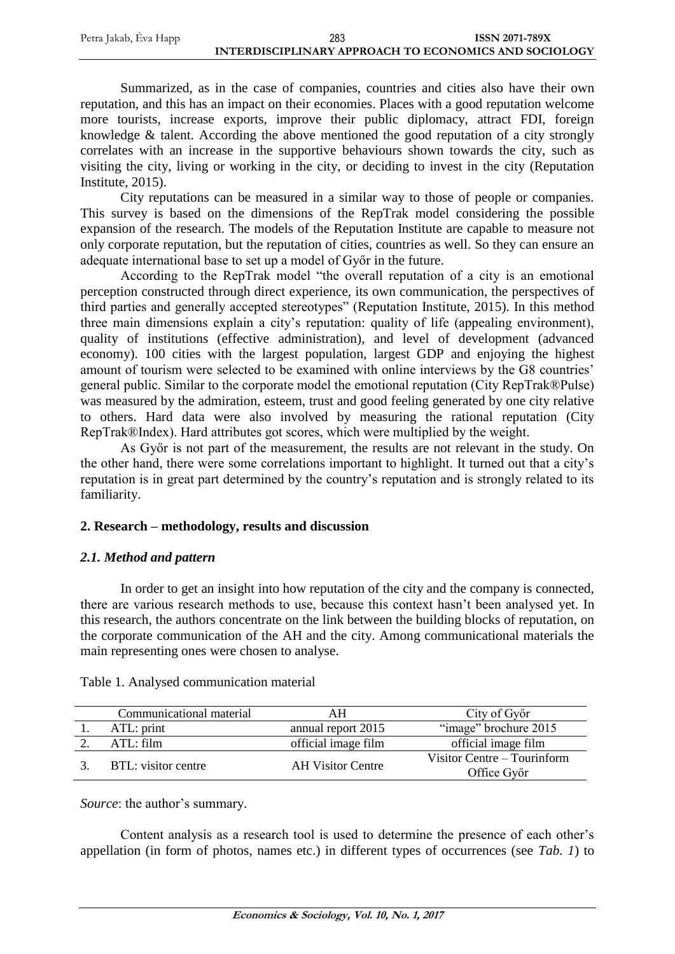Summarized, as in the case of companies, countries and cities also have their own reputation, and this has an impact on their economies. Places with a good reputation welcome more tourists, increase exports, improve their public diplomacy, attract FDI, foreign knowledge & talent. According the above mentioned the good reputation of a city strongly correlates with an increase in the supportive behaviours shown towards the city, such as visiting the city, living or working in the city, or deciding to invest in the city (Reputation Institute, 2015).

City reputations can be measured in a similar way to those of people or companies. This survey is based on the dimensions of the RepTrak model considering the possible expansion of the research. The models of the Reputation Institute are capable to measure not only corporate reputation, but the reputation of cities, countries as well. So they can ensure an adequate international base to set up a model of Győr in the future.

According to the RepTrak model "the overall reputation of a city is an emotional perception constructed through direct experience, its own communication, the perspectives of third parties and generally accepted stereotypes" (Reputation Institute, 2015). In this method three main dimensions explain a city's reputation: quality of life (appealing environment), quality of institutions (effective administration), and level of development (advanced economy). 100 cities with the largest population, largest GDP and enjoying the highest amount of tourism were selected to be examined with online interviews by the G8 countries' general public. Similar to the corporate model the emotional reputation (City RepTrak®Pulse) was measured by the admiration, esteem, trust and good feeling generated by one city relative to others. Hard data were also involved by measuring the rational reputation (City RepTrak®Index). Hard attributes got scores, which were multiplied by the weight.

As Győr is not part of the measurement, the results are not relevant in the study. On the other hand, there were some correlations important to highlight. It turned out that a city's reputation is in great part determined by the country's reputation and is strongly related to its familiarity.

# **2. Research – methodology, results and discussion**

# *2.1. Method and pattern*

In order to get an insight into how reputation of the city and the company is connected, there are various research methods to use, because this context hasn't been analysed yet. In this research, the authors concentrate on the link between the building blocks of reputation, on the corporate communication of the AH and the city. Among communicational materials the main representing ones were chosen to analyse.

| Communicational material | ΑH                       | City of Győr                               |
|--------------------------|--------------------------|--------------------------------------------|
| ATL: print               | annual report 2015       | "image" brochure 2015                      |
| ATL: film                | official image film      | official image film                        |
| BTL: visitor centre      | <b>AH Visitor Centre</b> | Visitor Centre – Tourinform<br>Office Győr |

Table 1. Analysed communication material

*Source*: the author's summary.

Content analysis as a research tool is used to determine the presence of each other's appellation (in form of photos, names etc.) in different types of occurrences (see *Tab. 1*) to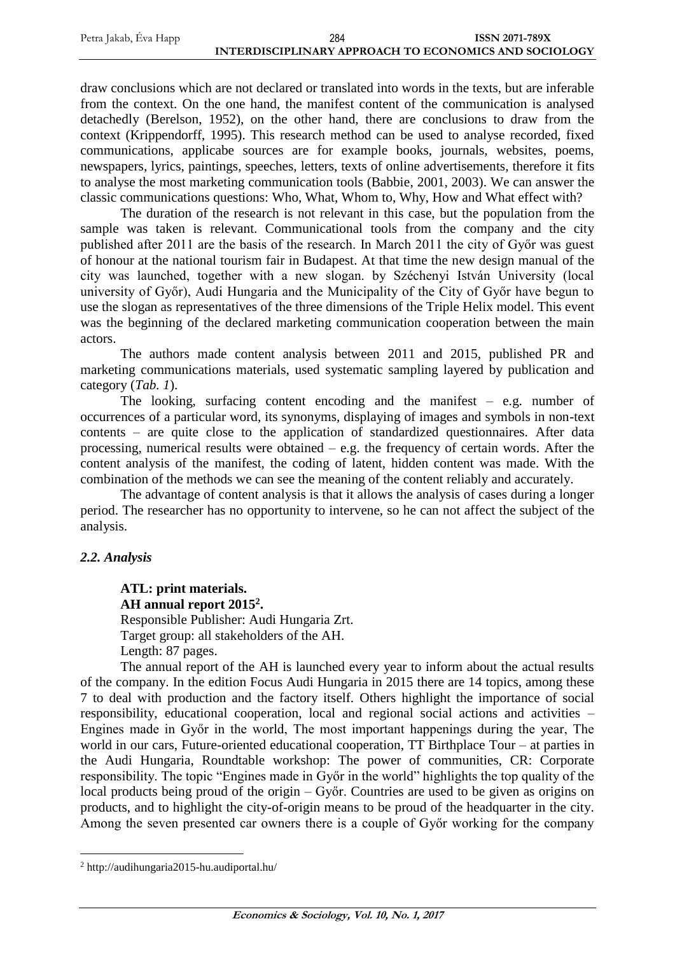draw conclusions which are not declared or translated into words in the texts, but are inferable from the context. On the one hand, the manifest content of the communication is analysed detachedly (Berelson, 1952), on the other hand, there are conclusions to draw from the context (Krippendorff, 1995). This research method can be used to analyse recorded, fixed communications, applicabe sources are for example books, journals, websites, poems, newspapers, lyrics, paintings, speeches, letters, texts of online advertisements, therefore it fits to analyse the most marketing communication tools (Babbie, 2001, 2003). We can answer the classic communications questions: Who, What, Whom to, Why, How and What effect with?

The duration of the research is not relevant in this case, but the population from the sample was taken is relevant. Communicational tools from the company and the city published after 2011 are the basis of the research. In March 2011 the city of Győr was guest of honour at the national tourism fair in Budapest. At that time the new design manual of the city was launched, together with a new slogan. by Széchenyi István University (local university of Győr), Audi Hungaria and the Municipality of the City of Győr have begun to use the slogan as representatives of the three dimensions of the Triple Helix model. This event was the beginning of the declared marketing communication cooperation between the main actors.

The authors made content analysis between 2011 and 2015, published PR and marketing communications materials, used systematic sampling layered by publication and category (*Tab. 1*).

The looking, surfacing content encoding and the manifest – e.g. number of occurrences of a particular word, its synonyms, displaying of images and symbols in non-text contents – are quite close to the application of standardized questionnaires. After data processing, numerical results were obtained – e.g. the frequency of certain words. After the content analysis of the manifest, the coding of latent, hidden content was made. With the combination of the methods we can see the meaning of the content reliably and accurately.

The advantage of content analysis is that it allows the analysis of cases during a longer period. The researcher has no opportunity to intervene, so he can not affect the subject of the analysis.

# *2.2. Analysis*

 $\overline{a}$ 

**ATL: print materials. AH annual report 2015<sup>2</sup> .** Responsible Publisher: Audi Hungaria Zrt. Target group: all stakeholders of the AH. Length: 87 pages.

The annual report of the AH is launched every year to inform about the actual results of the company. In the edition Focus Audi Hungaria in 2015 there are 14 topics, among these 7 to deal with production and the factory itself. Others highlight the importance of social responsibility, educational cooperation, local and regional social actions and activities – Engines made in Győr in the world, The most important happenings during the year, The world in our cars, Future-oriented educational cooperation, TT Birthplace Tour – at parties in the Audi Hungaria, Roundtable workshop: The power of communities, CR: Corporate responsibility. The topic "Engines made in Győr in the world" highlights the top quality of the local products being proud of the origin – Győr. Countries are used to be given as origins on products, and to highlight the city-of-origin means to be proud of the headquarter in the city. Among the seven presented car owners there is a couple of Győr working for the company

<sup>2</sup> http://audihungaria2015-hu.audiportal.hu/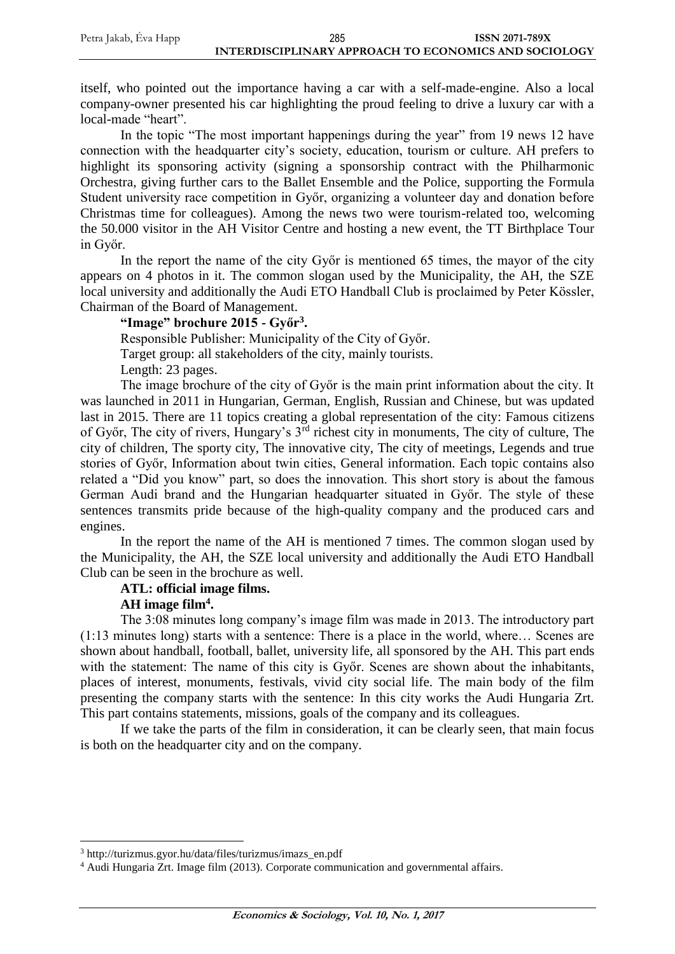itself, who pointed out the importance having a car with a self-made-engine. Also a local company-owner presented his car highlighting the proud feeling to drive a luxury car with a local-made "heart".

In the topic "The most important happenings during the year" from 19 news 12 have connection with the headquarter city's society, education, tourism or culture. AH prefers to highlight its sponsoring activity (signing a sponsorship contract with the Philharmonic Orchestra, giving further cars to the Ballet Ensemble and the Police, supporting the Formula Student university race competition in Győr, organizing a volunteer day and donation before Christmas time for colleagues). Among the news two were tourism-related too, welcoming the 50.000 visitor in the AH Visitor Centre and hosting a new event, the TT Birthplace Tour in Győr.

In the report the name of the city Győr is mentioned 65 times, the mayor of the city appears on 4 photos in it. The common slogan used by the Municipality, the AH, the SZE local university and additionally the Audi ETO Handball Club is proclaimed by Peter Kössler, Chairman of the Board of Management.

## **"Image" brochure 2015 - Győr<sup>3</sup> .**

Responsible Publisher: Municipality of the City of Győr. Target group: all stakeholders of the city, mainly tourists. Length: 23 pages.

The image brochure of the city of Győr is the main print information about the city. It was launched in 2011 in Hungarian, German, English, Russian and Chinese, but was updated last in 2015. There are 11 topics creating a global representation of the city: Famous citizens of Győr, The city of rivers, Hungary's 3rd richest city in monuments, The city of culture, The city of children, The sporty city, The innovative city, The city of meetings, Legends and true stories of Győr, Information about twin cities, General information. Each topic contains also related a "Did you know" part, so does the innovation. This short story is about the famous German Audi brand and the Hungarian headquarter situated in Győr. The style of these sentences transmits pride because of the high-quality company and the produced cars and engines.

In the report the name of the AH is mentioned 7 times. The common slogan used by the Municipality, the AH, the SZE local university and additionally the Audi ETO Handball Club can be seen in the brochure as well.

#### **ATL: official image films.**

## **AH image film<sup>4</sup> .**

 $\overline{a}$ 

The 3:08 minutes long company's image film was made in 2013. The introductory part (1:13 minutes long) starts with a sentence: There is a place in the world, where… Scenes are shown about handball, football, ballet, university life, all sponsored by the AH. This part ends with the statement: The name of this city is Győr. Scenes are shown about the inhabitants, places of interest, monuments, festivals, vivid city social life. The main body of the film presenting the company starts with the sentence: In this city works the Audi Hungaria Zrt. This part contains statements, missions, goals of the company and its colleagues.

If we take the parts of the film in consideration, it can be clearly seen, that main focus is both on the headquarter city and on the company.

<sup>3</sup> http://turizmus.gyor.hu/data/files/turizmus/imazs\_en.pdf

<sup>4</sup> Audi Hungaria Zrt. Image film (2013). Corporate communication and governmental affairs.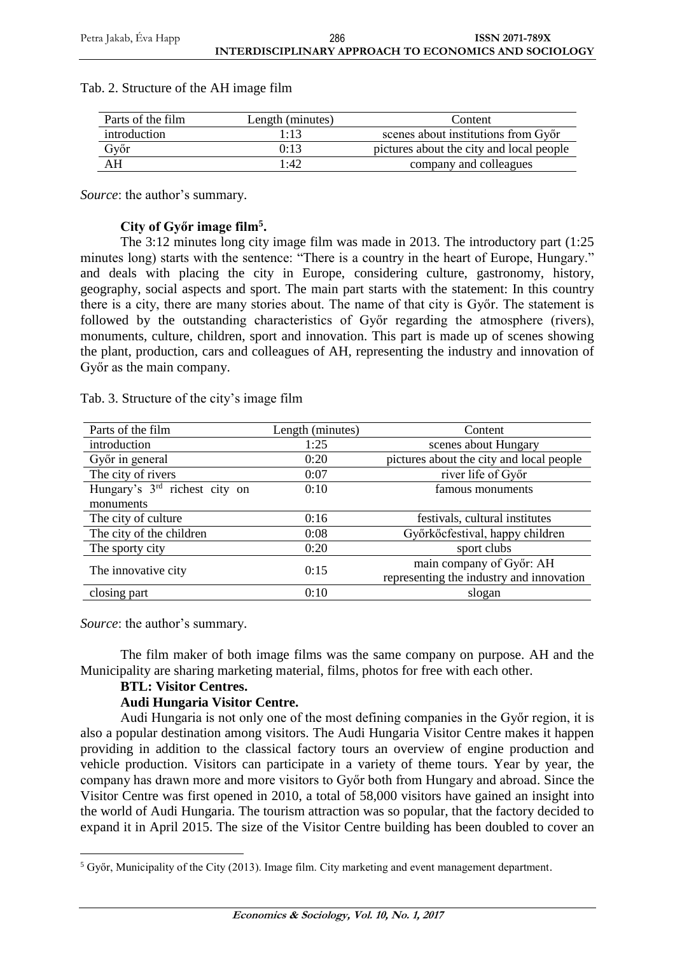| Parts of the film | Length (minutes) | Content                                  |
|-------------------|------------------|------------------------------------------|
| introduction      | 1:13             | scenes about institutions from Győr      |
| Győr              | 0:13             | pictures about the city and local people |
| ΑH                | 1.42             | company and colleagues                   |

#### Tab. 2. Structure of the AH image film

*Source*: the author's summary.

## **City of Győr image film<sup>5</sup> .**

The 3:12 minutes long city image film was made in 2013. The introductory part (1:25 minutes long) starts with the sentence: "There is a country in the heart of Europe, Hungary." and deals with placing the city in Europe, considering culture, gastronomy, history, geography, social aspects and sport. The main part starts with the statement: In this country there is a city, there are many stories about. The name of that city is Győr. The statement is followed by the outstanding characteristics of Győr regarding the atmosphere (rivers), monuments, culture, children, sport and innovation. This part is made up of scenes showing the plant, production, cars and colleagues of AH, representing the industry and innovation of Győr as the main company.

| Tab. 3. Structure of the city's image film |  |  |
|--------------------------------------------|--|--|
|                                            |  |  |

| Parts of the film                         | Length (minutes) | Content                                  |  |
|-------------------------------------------|------------------|------------------------------------------|--|
| introduction                              | 1:25             | scenes about Hungary                     |  |
| Győr in general                           | 0:20             | pictures about the city and local people |  |
| The city of rivers                        | 0:07             | river life of Győr                       |  |
| Hungary's 3 <sup>rd</sup> richest city on | 0:10             | famous monuments                         |  |
| monuments                                 |                  |                                          |  |
| The city of culture                       | 0:16             | festivals, cultural institutes           |  |
| The city of the children                  | 0:08             | Győrkő cfestival, happy children         |  |
| The sporty city                           | 0:20             | sport clubs                              |  |
|                                           | 0:15             | main company of Győr: AH                 |  |
| The innovative city                       |                  | representing the industry and innovation |  |
| closing part                              | 0:10             | slogan                                   |  |

*Source*: the author's summary.

The film maker of both image films was the same company on purpose. AH and the Municipality are sharing marketing material, films, photos for free with each other.

#### **BTL: Visitor Centres.**

#### **Audi Hungaria Visitor Centre.**

Audi Hungaria is not only one of the most defining companies in the Győr region, it is also a popular destination among visitors. The Audi Hungaria Visitor Centre makes it happen providing in addition to the classical factory tours an overview of engine production and vehicle production. Visitors can participate in a variety of theme tours. Year by year, the company has drawn more and more visitors to Győr both from Hungary and abroad. Since the Visitor Centre was first opened in 2010, a total of 58,000 visitors have gained an insight into the world of Audi Hungaria. The tourism attraction was so popular, that the factory decided to expand it in April 2015. The size of the Visitor Centre building has been doubled to cover an

 $\overline{a}$ <sup>5</sup> Győr, Municipality of the City (2013). Image film. City marketing and event management department.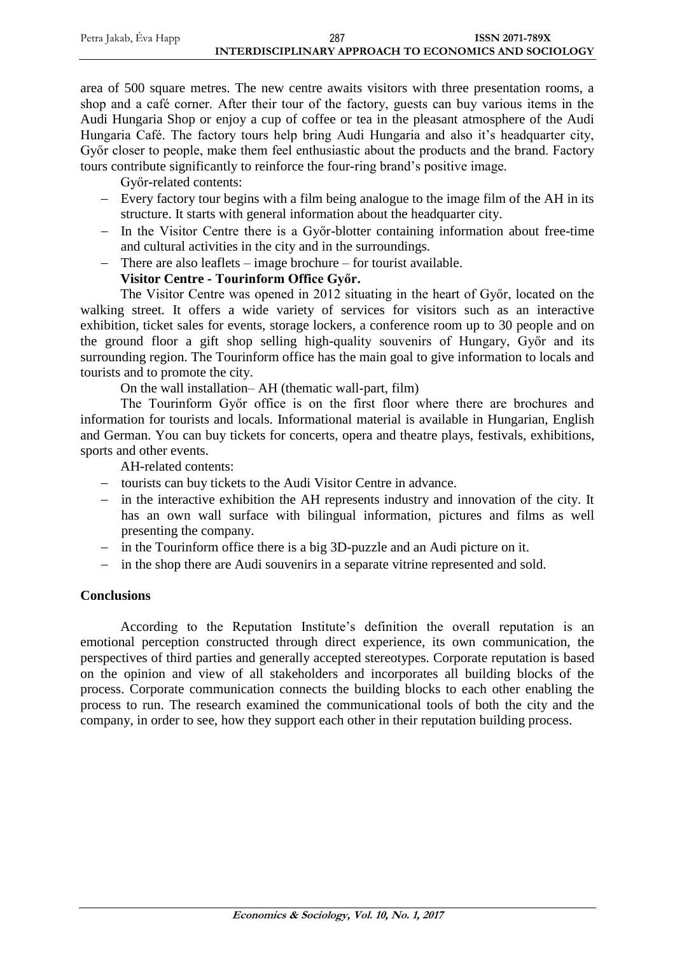area of 500 square metres. The new centre awaits visitors with three presentation rooms, a shop and a café corner. After their tour of the factory, guests can buy various items in the Audi Hungaria Shop or enjoy a cup of coffee or tea in the pleasant atmosphere of the Audi Hungaria Café. The factory tours help bring Audi Hungaria and also it's headquarter city, Győr closer to people, make them feel enthusiastic about the products and the brand. Factory tours contribute significantly to reinforce the four-ring brand's positive image.

Győr-related contents:

- Every factory tour begins with a film being analogue to the image film of the AH in its structure. It starts with general information about the headquarter city.
- In the Visitor Centre there is a Győr-blotter containing information about free-time and cultural activities in the city and in the surroundings.
- There are also leaflets image brochure for tourist available.

# **Visitor Centre - Tourinform Office Győr.**

The Visitor Centre was opened in 2012 situating in the heart of Győr, located on the walking street. It offers a wide variety of services for visitors such as an interactive exhibition, ticket sales for events, storage lockers, a conference room up to 30 people and on the ground floor a gift shop selling high-quality souvenirs of Hungary, Győr and its surrounding region. The Tourinform office has the main goal to give information to locals and tourists and to promote the city.

On the wall installation– AH (thematic wall-part, film)

The Tourinform Győr office is on the first floor where there are brochures and information for tourists and locals. Informational material is available in Hungarian, English and German. You can buy tickets for concerts, opera and theatre plays, festivals, exhibitions, sports and other events.

AH-related contents:

- tourists can buy tickets to the Audi Visitor Centre in advance.
- in the interactive exhibition the AH represents industry and innovation of the city. It has an own wall surface with bilingual information, pictures and films as well presenting the company.
- in the Tourinform office there is a big 3D-puzzle and an Audi picture on it.
- in the shop there are Audi souvenirs in a separate vitrine represented and sold.

# **Conclusions**

According to the Reputation Institute's definition the overall reputation is an emotional perception constructed through direct experience, its own communication, the perspectives of third parties and generally accepted stereotypes. Corporate reputation is based on the opinion and view of all stakeholders and incorporates all building blocks of the process. Corporate communication connects the building blocks to each other enabling the process to run. The research examined the communicational tools of both the city and the company, in order to see, how they support each other in their reputation building process.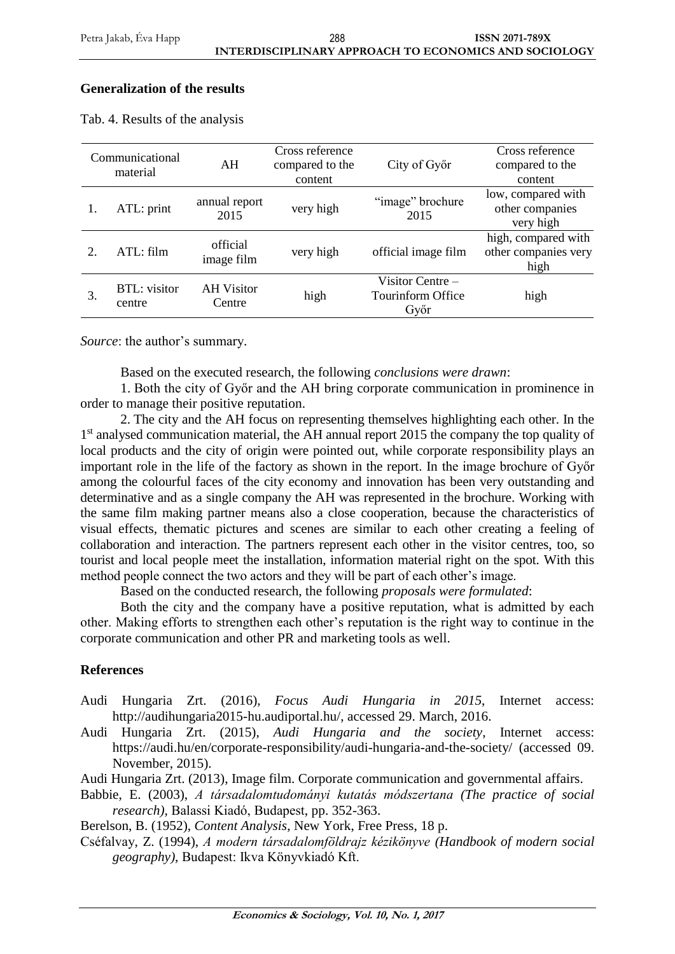# **Generalization of the results**

|    | Communicational<br>material   | AH                          | Cross reference<br>compared to the<br>content | City of Győr                                  | Cross reference<br>compared to the<br>content       |
|----|-------------------------------|-----------------------------|-----------------------------------------------|-----------------------------------------------|-----------------------------------------------------|
|    | ATL: print                    | annual report<br>2015       | very high                                     | "image" brochure<br>2015                      | low, compared with<br>other companies<br>very high  |
| 2. | ATL: film                     | official<br>image film      | very high                                     | official image film                           | high, compared with<br>other companies very<br>high |
| 3. | <b>BTL:</b> visitor<br>centre | <b>AH</b> Visitor<br>Centre | high                                          | Visitor Centre -<br>Tourinform Office<br>Győr | high                                                |

Tab. 4. Results of the analysis

*Source*: the author's summary.

Based on the executed research, the following *conclusions were drawn*:

1. Both the city of Győr and the AH bring corporate communication in prominence in order to manage their positive reputation.

2. The city and the AH focus on representing themselves highlighting each other. In the 1<sup>st</sup> analysed communication material, the AH annual report 2015 the company the top quality of local products and the city of origin were pointed out, while corporate responsibility plays an important role in the life of the factory as shown in the report. In the image brochure of Győr among the colourful faces of the city economy and innovation has been very outstanding and determinative and as a single company the AH was represented in the brochure. Working with the same film making partner means also a close cooperation, because the characteristics of visual effects, thematic pictures and scenes are similar to each other creating a feeling of collaboration and interaction. The partners represent each other in the visitor centres, too, so tourist and local people meet the installation, information material right on the spot. With this method people connect the two actors and they will be part of each other's image.

Based on the conducted research, the following *proposals were formulated*:

Both the city and the company have a positive reputation, what is admitted by each other. Making efforts to strengthen each other's reputation is the right way to continue in the corporate communication and other PR and marketing tools as well.

# **References**

- Audi Hungaria Zrt. (2016), *Focus Audi Hungaria in 2015*, Internet access: [http://audihungaria2015-hu.audiportal.hu/,](http://audihungaria2015-hu.audiportal.hu/) accessed 29. March, 2016.
- Audi Hungaria Zrt. (2015), *Audi Hungaria and the society*, Internet access: https://audi.hu/en/corporate-responsibility/audi-hungaria-and-the-society/ (accessed 09. November, 2015).

Audi Hungaria Zrt. (2013), Image film. Corporate communication and governmental affairs.

Babbie, E. (2003), *A társadalomtudományi kutatás módszertana (The practice of social research)*, Balassi Kiadó, Budapest, pp. 352-363.

Berelson, B. (1952), *Content Analysis*, New York, Free Press, 18 p.

Cséfalvay, Z. (1994), *A modern társadalomföldrajz kézikönyve (Handbook of modern social geography)*, Budapest: Ikva Könyvkiadó Kft.